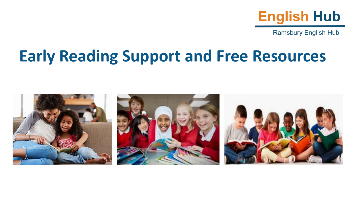

**Ramsbury English Hub** 

### **Early Reading Support and Free Resources**

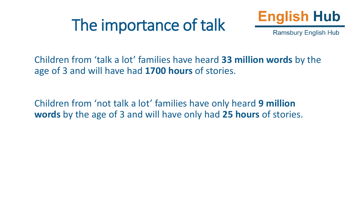### The importance of talk



**Ramsbury English Hub** 

Children from 'talk a lot' families have heard **33 million words** by the age of 3 and will have had **1700 hours** of stories.

Children from 'not talk a lot' families have only heard **9 million words** by the age of 3 and will have only had **25 hours** of stories.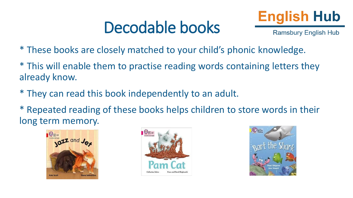### Decodable books



**Ramsbury English Hub** 

- \* These books are closely matched to your child's phonic knowledge.
- \* This will enable them to practise reading words containing letters they already know.
- \* They can read this book independently to an adult.
- \* Repeated reading of these books helps children to store words in their long term memory.





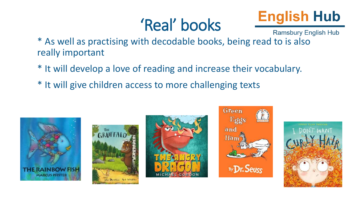## 'Real' books



**Ramsbury English Hub** 

\* As well as practising with decodable books, being read to is also really important

- \* It will develop a love of reading and increase their vocabulary.
- \* It will give children access to more challenging texts









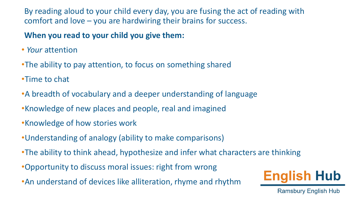By reading aloud to your child every day, you are fusing the act of reading with comfort and love – you are hardwiring their brains for success.

#### **When you read to your child you give them:**

- *Your* attention
- •The ability to pay attention, to focus on something shared
- •Time to chat
- •A breadth of vocabulary and a deeper understanding of language
- •Knowledge of new places and people, real and imagined
- •Knowledge of how stories work
- •Understanding of analogy (ability to make comparisons)
- •The ability to think ahead, hypothesize and infer what characters are thinking
- •Opportunity to discuss moral issues: right from wrong
- •An understand of devices like alliteration, rhyme and rhythm



**Ramsbury English Hub**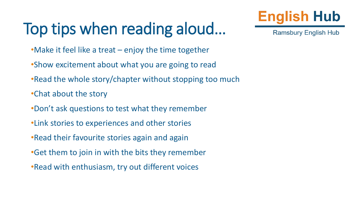# Top tips when reading aloud…



**Ramsbury English Hub** 

- •Make it feel like a treat enjoy the time together
- •Show excitement about what you are going to read
- •Read the whole story/chapter without stopping too much
- •Chat about the story
- •Don't ask questions to test what they remember
- •Link stories to experiences and other stories
- •Read their favourite stories again and again
- •Get them to join in with the bits they remember
- •Read with enthusiasm, try out different voices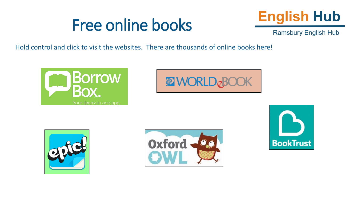### Free online books



**Ramsbury English Hub** 

Hold control and click to visit the websites. There are thousands of online books here!









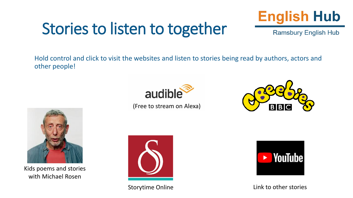## Stories to listen to together



**Ramsbury English Hub** 

Hold control and click to visit the websites and listen to stories being read by authors, actors and other people!



[\(Free to stream on Alexa\)](https://www.audible.co.uk/?source_code=M2M30DFT1BkSH1015140054&&ipRedirectOverride=true)





Kids poems and stories with Michael Rosen



Storytime Online



Link to other stories